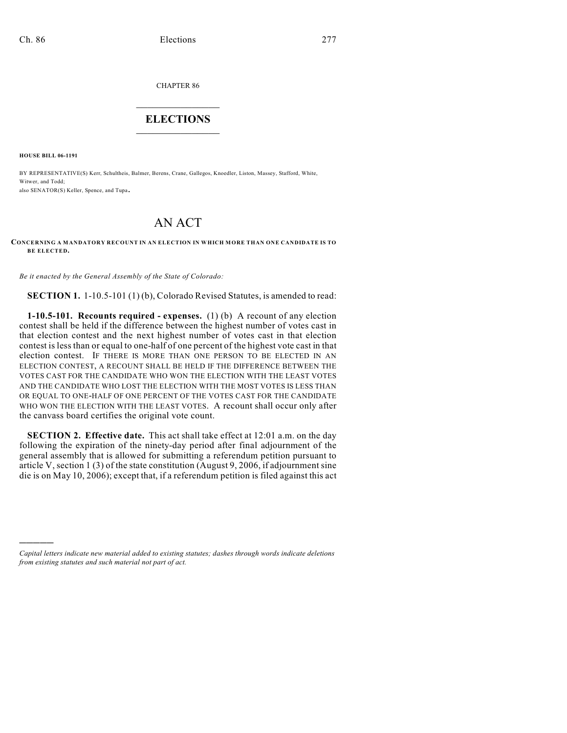CHAPTER 86

## $\mathcal{L}_\text{max}$  . The set of the set of the set of the set of the set of the set of the set of the set of the set of the set of the set of the set of the set of the set of the set of the set of the set of the set of the set **ELECTIONS**  $\_$

**HOUSE BILL 06-1191**

)))))

BY REPRESENTATIVE(S) Kerr, Schultheis, Balmer, Berens, Crane, Gallegos, Knoedler, Liston, Massey, Stafford, White, Witwer, and Todd; also SENATOR(S) Keller, Spence, and Tupa.

## AN ACT

**CONCERNING A MANDATORY RECOUNT IN AN ELECTION IN WHICH MORE THAN ONE CANDIDATE IS TO BE ELECTED.**

*Be it enacted by the General Assembly of the State of Colorado:*

**SECTION 1.** 1-10.5-101 (1) (b), Colorado Revised Statutes, is amended to read:

**1-10.5-101. Recounts required - expenses.** (1) (b) A recount of any election contest shall be held if the difference between the highest number of votes cast in that election contest and the next highest number of votes cast in that election contest is less than or equal to one-half of one percent of the highest vote cast in that election contest. IF THERE IS MORE THAN ONE PERSON TO BE ELECTED IN AN ELECTION CONTEST, A RECOUNT SHALL BE HELD IF THE DIFFERENCE BETWEEN THE VOTES CAST FOR THE CANDIDATE WHO WON THE ELECTION WITH THE LEAST VOTES AND THE CANDIDATE WHO LOST THE ELECTION WITH THE MOST VOTES IS LESS THAN OR EQUAL TO ONE-HALF OF ONE PERCENT OF THE VOTES CAST FOR THE CANDIDATE WHO WON THE ELECTION WITH THE LEAST VOTES. A recount shall occur only after the canvass board certifies the original vote count.

**SECTION 2. Effective date.** This act shall take effect at 12:01 a.m. on the day following the expiration of the ninety-day period after final adjournment of the general assembly that is allowed for submitting a referendum petition pursuant to article V, section 1 (3) of the state constitution (August 9, 2006, if adjournment sine die is on May 10, 2006); except that, if a referendum petition is filed against this act

*Capital letters indicate new material added to existing statutes; dashes through words indicate deletions from existing statutes and such material not part of act.*